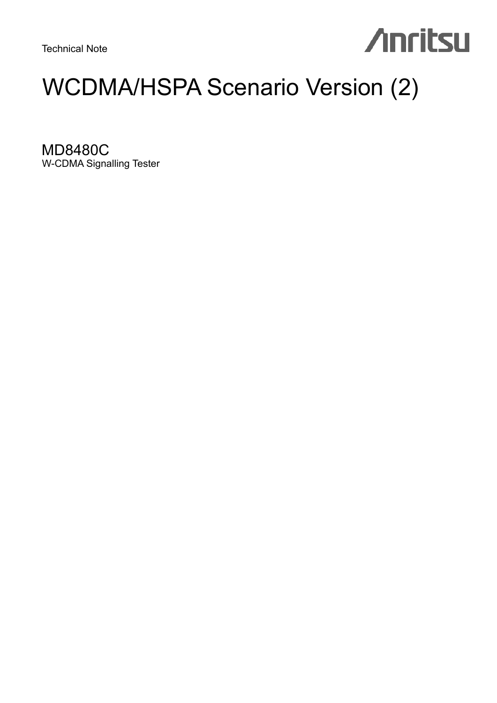Technical Note

# **Anritsu**

# WCDMA/HSPA Scenario Version (2)

MD8480C W-CDMA Signalling Tester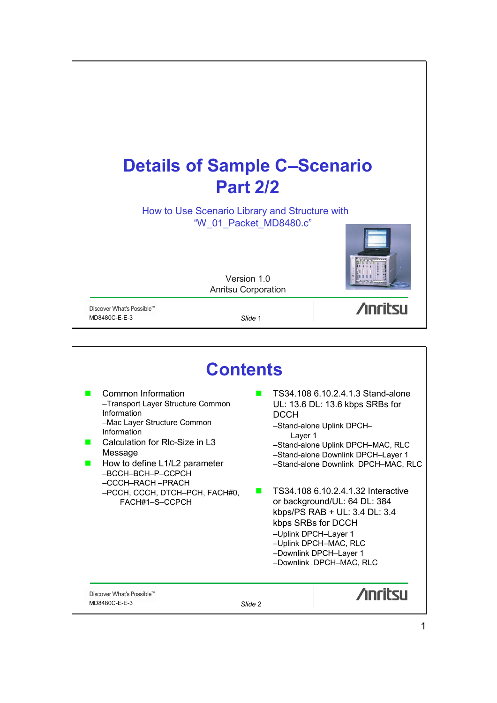

| <b>Contents</b>                                                                                                                                                                                                                                                                                 |                                                                                                                                                                                                                                                                                                                                                                                                                                                                                  |  |  |  |
|-------------------------------------------------------------------------------------------------------------------------------------------------------------------------------------------------------------------------------------------------------------------------------------------------|----------------------------------------------------------------------------------------------------------------------------------------------------------------------------------------------------------------------------------------------------------------------------------------------------------------------------------------------------------------------------------------------------------------------------------------------------------------------------------|--|--|--|
| Common Information<br>-Transport Layer Structure Common<br>Information<br>-Mac Layer Structure Common<br>Information<br>Calculation for RIc-Size in L3<br>Message<br>How to define L1/L2 parameter<br>-BCCH-BCH-P-CCPCH<br>-CCCH-RACH-PRACH<br>-PCCH, CCCH, DTCH-PCH, FACH#0,<br>FACH#1-S-CCPCH | TS34.108 6.10.2.4.1.3 Stand-alone<br>UL: 13.6 DL: 13.6 kbps SRBs for<br><b>DCCH</b><br>-Stand-alone Uplink DPCH-<br>Layer 1<br>-Stand-alone Uplink DPCH-MAC, RLC<br>-Stand-alone Downlink DPCH-Layer 1<br>-Stand-alone Downlink DPCH-MAC, RLC<br>TS34.108 6.10.2.4.1.32 Interactive<br>or background/UL: 64 DL: 384<br>kbps/PS RAB + UL: 3.4 DL: 3.4<br>kbps SRBs for DCCH<br>-Uplink DPCH-Layer 1<br>-Uplink DPCH-MAC, RLC<br>-Downlink DPCH-Layer 1<br>-Downlink DPCH-MAC, RLC |  |  |  |
| Discover What's Possible™<br>MD8480C-E-E-3                                                                                                                                                                                                                                                      | <b>Anritsu</b><br>Slide 2                                                                                                                                                                                                                                                                                                                                                                                                                                                        |  |  |  |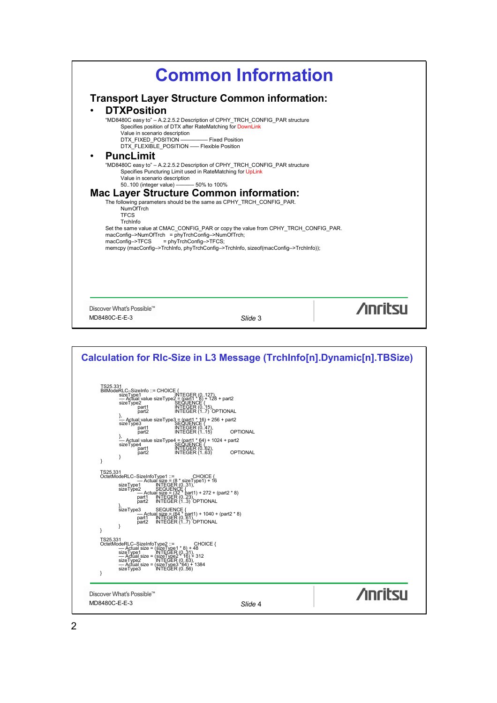

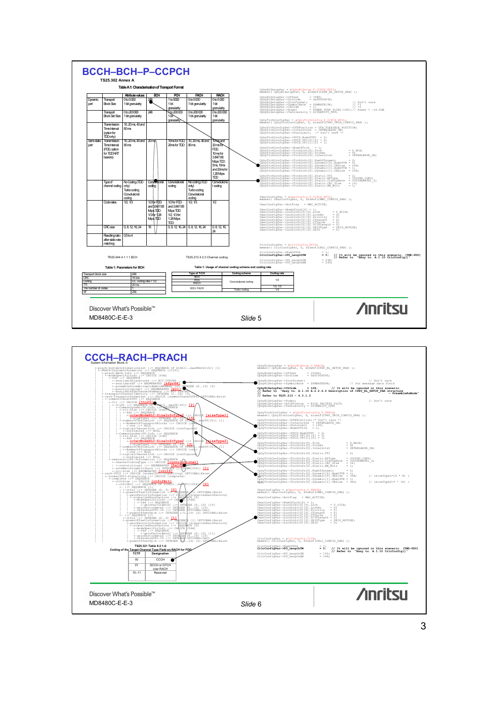

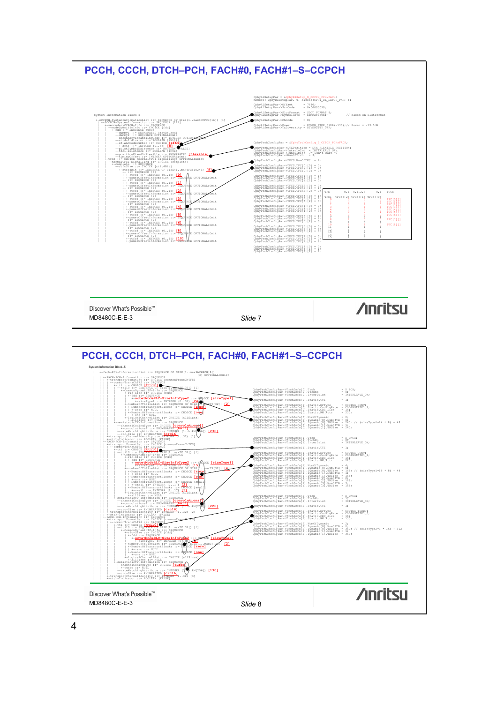

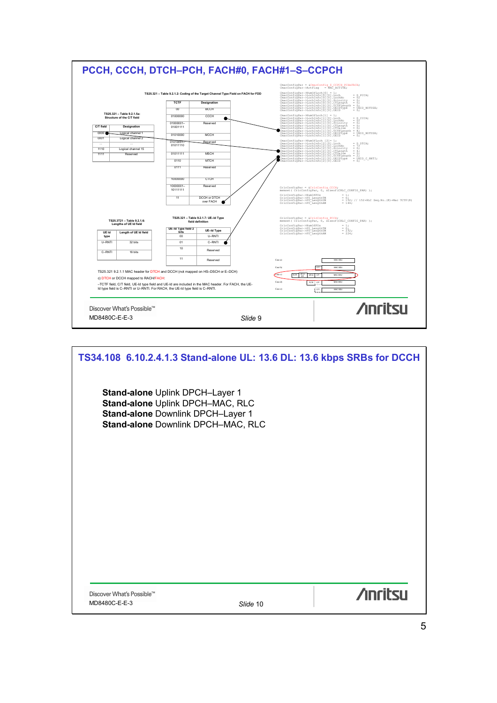

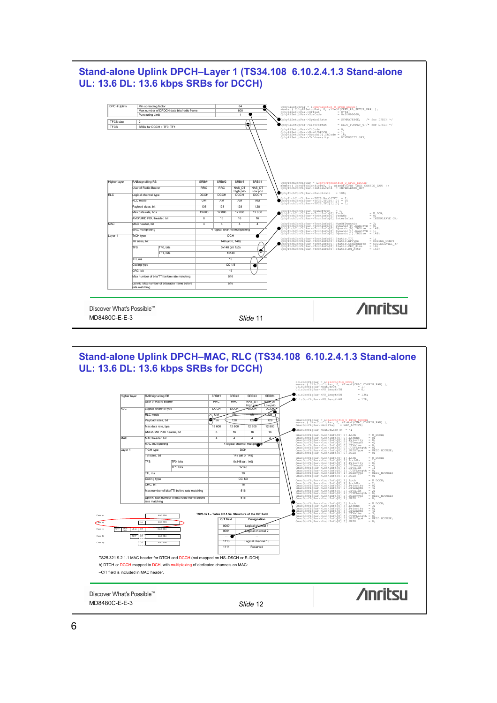

–C/T field is included in MAC header.

Discover What's Possible™



**/inritsu** 

6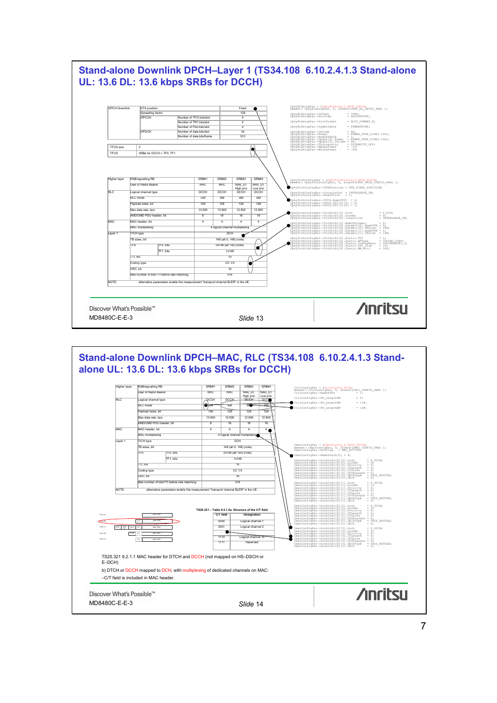# **Stand-alone Downlink DPCH–Layer 1 (TS34.108 6.10.2.4.1.3 Stand-alone UL: 13.6 DL: 13.6 kbps SRBs for DCCH)**



#### **Stand-alone Downlink DPCH–MAC, RLC (TS34.108 6.10.2.4.1.3 Standalone UL: 13.6 DL: 13.6 kbps SRBs for DCCH)** Higher layer RAB/signalling RB SRB#1 SRB#2 SRB#3 SRB#4 CrlcConfigPar = &CrlcConfig\_DCCH;<br>memset( CrlcConfigPar, 0, sīzeof(CRLC\_CONFIG\_PAR) );<br>CrlcConfigPar->NumOfPUs = 1; User of Radio Bearer Records of RRC RRC RAS\_DT NAS\_DT High prio<br>DCCH Low prio Logical channel type DCCH DCCH DECH High prior<br>RLC mode<br>Pavioad sizes, bit CrlcConfigPar–>PU\_LengthTM = 0; CrlcConfigPar–>PU\_LengthUM = 136; CrlcConfigPar–>PU\_LengthAM = 128; RLC mode<br>
Payload sizes, bit<br>
Payload sizes, bit<br>
136 128 128 128 128 Payload sizes, bit 136 128 128 128 Max data rate, bps AMD/UMD PDU header, bit 8 16 16 16 16 MAC header, bit<br>MAC header, bit<br>MAC multiplexing<br>MAC multiplexing MAC multiplexing  $\frac{1}{4}$  logical channel multiplexing and the set of the set of the set of the set of the set of the set of the set of the set of the set of the set of the set of the set of the set of the set of the set TrCH type TB sizes, bit 148 (alt 0, 148) (note)<br>TFS 7TF0, bits 0x148 (alt 1x0) (note) CmacConfigPar = &CmacConfig\_D\_DPCH\_SDCCH;<br>memset( CmacConfigPar, 0, sizeof(CMAC\_CONFIG\_PAR) );<br>CmacConfigPar->ActFlag = MAC\_ACTIVE; The tast  $\frac{1}{10}$ ,  $\frac{1}{10}$ ,  $\frac{1}{10}$ ,  $\frac{1}{10}$ ÷ CmacConfigPar–>NumOfLoch[0] = 4; CmacConfigPar–>LochInfo[0][0].Loch = D\_DCCH; CmacConfigPar–>LochInfo[0][0].LochNo = 0; CmacConfigPar–>LochInfo[0][0].Priority = 0; CmacConfigPar–>LochInfo[0][0].CTLength = 4; CmacConfigPar–>LochInfo[0][0].CTValue = 0; CmacConfigPar–>LochInfo[0][0].TCTFLength = 0; CmacConfigPar–>LochInfo[0][0].UEIDType = UEID\_NOTUSE; CmacConfigPar–>LochInfo[0][0].UEID = 0; CmacConfigPar–>LochInfo[0][1].Loch = D\_DCCH; CmacConfigPar–>LochInfo[0][1].LochNo = 1; CmacConfigPar–>LochInfo[0][1].Priority = 0; CmacConfigPar–>LochInfo[0][1].CTLength = 4; CmacConfigPar–>LochInfo[0][1].CTValue = 1; CmacConfigPar–>LochInfo[0][1].TCTFLength = 0; CmacConfigPar–>LochInfo[0][1].UEIDType = UEID\_NOTUSE; CmacConfigPar–>LochInfo[0][1].UEID = 0;  $TF1, \text{ bits}$  1x148 TTI, ms 10 Coding type CC 1/3 CRC, bit 16 Max number of bits/TTI before rate matching  $\overline{\phantom{0}}$  516 NOTE: alternative parameters enable the measurement "transport channel BLER" in the UE. CmacConfigPar–>LochInfo[0][2].Loch = D\_DCCH;<br>CmacConfigPar–>LochInfo[0][2].LochNo = 27<br>CmacConfigPar–>LochInfo[0][2].Priority = 0;<br>CmacConfigPar–>LochInfo[0][2].CTLength = 4; **C/T field Designation TS25.321 – Table 9.2.1.5a: Structure of the C/T field**  $\overline{\phantom{0}}$ Case a): MAC SDU CmacConfigPar–>LochInfo[0][2].CTValue = 2;<br>CmacConfigPar–>LochInfo[0][2].TCTFLength = 0;<br>CmacConfigPar–>LochInfo[0][2].UEID = 0; -<br>CmacConfigPar–>LochInfo[0][2].UEID = 0; en de la contradicción de la contradicción de la contradicción de la contradicción de la contradicción de la c<br>10001 logical channel 2  $\epsilon$  $\mathsf{C}\mathsf{U}$ 001 Logical channel 2 Case c): TCTF UE-Id UE-Id CT MAC SDU  $\begin{small} \texttt{CmacConfigR1--} \texttt{NacConfigR1--} \texttt{NacOnfigR2--} \texttt{NacOnfigR2--} \texttt{NacOnfigR2--} \texttt{NacOnfigR2--} \texttt{NacOnfigR2--} \texttt{NacOnfigR2--} \texttt{NacOnfigR2--} \texttt{NacOnfigR2--} \texttt{NacOnfigR2--} \texttt{NacOnfigR2--} \texttt{NacOnfigR2--} \texttt{NacOnfigR2--} \texttt{NacOnfigR2--} \texttt{NacOnfigR2--} \texttt{NacOnfigR2--} \texttt{NacOnfigR2--$ ... ... 1110 Logical channel 15 Case d): TCTF ! C/T ! MAC SDU Case e): MAC SDU 1111 Reserved TS25.321 9.2.1.1 MAC header for DTCH and DCCH (not mapped on HS–DSCH or E–DCH) b) DTCH or DCCH mapped to DCH, with multiplexing of dedicated channels on MAC: –C/T field is included in MAC header.**/inritsu** Discover What's Possible™ MD8480C-E-E-3 *Slide* 14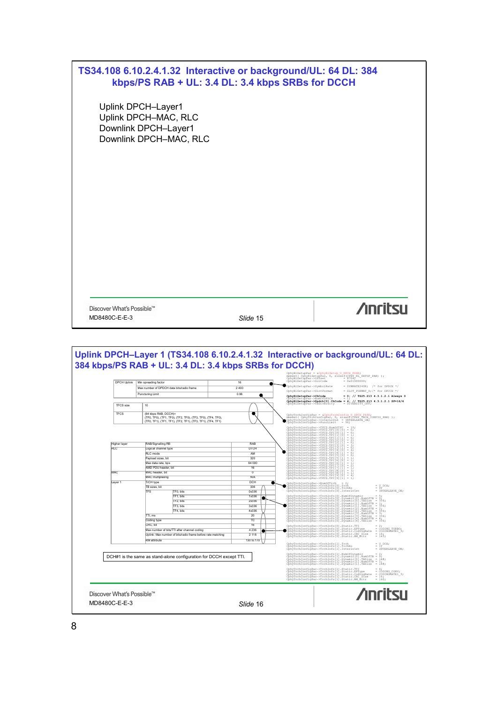|                                            | TS34.108 6.10.2.4.1.32 Interactive or background/UL: 64 DL: 384<br>kbps/PS RAB + UL: 3.4 DL: 3.4 kbps SRBs for DCCH                                              |                                                                                              |                                                                                                                                                                                                                                                                                                                                                                                                                                                                                                                                                                                                                                                                                                                                                                                                                                                                                                                                                                                                                                                                                  |  |  |
|--------------------------------------------|------------------------------------------------------------------------------------------------------------------------------------------------------------------|----------------------------------------------------------------------------------------------|----------------------------------------------------------------------------------------------------------------------------------------------------------------------------------------------------------------------------------------------------------------------------------------------------------------------------------------------------------------------------------------------------------------------------------------------------------------------------------------------------------------------------------------------------------------------------------------------------------------------------------------------------------------------------------------------------------------------------------------------------------------------------------------------------------------------------------------------------------------------------------------------------------------------------------------------------------------------------------------------------------------------------------------------------------------------------------|--|--|
|                                            | Uplink DPCH-Layer1<br>Uplink DPCH-MAC, RLC<br>Downlink DPCH-Layer1<br>Downlink DPCH-MAC, RLC                                                                     |                                                                                              |                                                                                                                                                                                                                                                                                                                                                                                                                                                                                                                                                                                                                                                                                                                                                                                                                                                                                                                                                                                                                                                                                  |  |  |
|                                            |                                                                                                                                                                  |                                                                                              |                                                                                                                                                                                                                                                                                                                                                                                                                                                                                                                                                                                                                                                                                                                                                                                                                                                                                                                                                                                                                                                                                  |  |  |
|                                            |                                                                                                                                                                  |                                                                                              |                                                                                                                                                                                                                                                                                                                                                                                                                                                                                                                                                                                                                                                                                                                                                                                                                                                                                                                                                                                                                                                                                  |  |  |
|                                            |                                                                                                                                                                  |                                                                                              |                                                                                                                                                                                                                                                                                                                                                                                                                                                                                                                                                                                                                                                                                                                                                                                                                                                                                                                                                                                                                                                                                  |  |  |
| Discover What's Possible™<br>MD8480C-E-E-3 |                                                                                                                                                                  | Slide 15                                                                                     | <b>Anritsu</b>                                                                                                                                                                                                                                                                                                                                                                                                                                                                                                                                                                                                                                                                                                                                                                                                                                                                                                                                                                                                                                                                   |  |  |
|                                            |                                                                                                                                                                  |                                                                                              |                                                                                                                                                                                                                                                                                                                                                                                                                                                                                                                                                                                                                                                                                                                                                                                                                                                                                                                                                                                                                                                                                  |  |  |
|                                            | 384 kbps/PS RAB + UL: 3.4 DL: 3.4 kbps SRBs for DCCH)                                                                                                            |                                                                                              |                                                                                                                                                                                                                                                                                                                                                                                                                                                                                                                                                                                                                                                                                                                                                                                                                                                                                                                                                                                                                                                                                  |  |  |
| DPCH Uplink                                | Min spreading factor<br>Max number of DPDCH data bits/radio frame<br>Puncturing Limit                                                                            | 16<br>2400<br>0.96<br>œ                                                                      | CphyRlSetupPar = &CphyRlSetup U DPCH P64K;<br>memset( CphyRlSetupPar, 0, sizeof(CPHY RL_SETUP_PAR) );<br>CphyRlSetupPar->Offset = = 87047<br>CphyRlSetupPar->ScrCode = 0x01000000;<br>$=$ SYMRATE240K; /* for DPDCH */<br>CphyRlSetupPar->SymbolRate<br>CphyRlSetupPar->SlotFormat<br>= SLOT FORMAT 0; $/*$ for DPCCH $*/$<br>$= 0$ ; // TS25.213 4.3.1.2.1 Always 0                                                                                                                                                                                                                                                                                                                                                                                                                                                                                                                                                                                                                                                                                                             |  |  |
| <b>TFCS</b> size<br><b>TFCS</b>            | 10<br>(64 kbps RAB, DCCH)=<br>(TF0, TF0), (TF1, TF0), (TF2, TF0), (TF3, TF0), (TF4, TF0),<br>(TF0, TF1), (TF1, TF1), (TF2, TF1), (TF3, TF1), (TF4, TF1)          |                                                                                              | Uplink DPCH-Layer 1 (TS34.108 6.10.2.4.1.32 Interactive or background/UL: 64 DL:<br>CphyR1SetupPar->NumOfDPDCH = 1;<br>CphyR1SetupPar->Dpdch[0].ChCode = 4; // TS25.213 4.3.1.2.1 SF=16/4<br>CphyR1SetupPar->TxDiversity = DIVERSITY_OFF;<br>CphyTrchConfigPar = &CphyTrchConfig U DPCH P64K;<br>memset( CphyTrchConfigPar, 0, sizeoT(CPHY TRCH CONFIG_PAR) );<br>CphyTrchConfigPar->InterLw2nd = INTERLEAVE_ON;<br>CphyTrchConfigPar->PuncLimit = 96;                                                                                                                                                                                                                                                                                                                                                                                                                                                                                                                                                                                                                           |  |  |
| Higher layer<br>RLC                        | RAB/Signalling RB<br>Logical channel type<br>RI C mode<br>Payload sizes, bit<br>Max data rate, bps<br>AMD PDU header, bit                                        | RAB<br><b>DTCH</b><br>◉<br>AM<br>320<br>64 000<br>16                                         | CphyTrchConfigPar->TFCS.NumOfTFC = 10;<br>CphyTrchConfigPar->TFCS.TFC[0][0] = 0;<br>CphyTrchConfigPar->TFCS.TFC[0][1] = 0;<br>CphyTrchConfigPar->TFCS.TFC[1][0] = 1;<br>ChhýrchConfigher-PECS.TFC[1]<br>ChhýrchConfigher-PECS.TFC[1]<br>ChhýrchConfigher-PECS.TFC[2]<br>ChhýrchConfigher-PECS.TFC[2]<br>ChhýrchConfigher-PECS.TFC[1]<br>ChhýrchConfigher-PECS.TFC[4]<br>ChhýrchConfigher-PECS.TFC[2]<br>ChhýrchConfigher-PE                                                                                                                                                                                                                                                                                                                                                                                                                                                                                                                                                                                                                                                      |  |  |
| MAC<br>Layer 1                             | MAC header, bit<br>MAC multiplexing<br>TrCH type<br>TR sizes hit<br><b>TFS</b><br>TF0, bits<br>TF1, bits<br>TF2, bits<br>TF3, bits<br>TF4, bits                  | $\overline{0}$<br>N/A<br><b>DCH</b><br>ш<br>336<br>0x336<br>1x336<br>2x336<br>3x336<br>4x336 | CohyTrchConfigPar->TPCS.TPC[7]<br>CphyTrchConfigPar->TPCS.TPC[8]<br>CphyTrchConfigPar->TPCS.TPC[8]<br>CphyTrchConfigPar->TPCS.TPC[9]<br>$\begin{array}{c}\n\vdots \\ \vdots \\ \vdots \\ \vdots\n\end{array}$<br>$\begin{array}{lll} {\tt CpnyTrchConfigPar->TFCS.TFC[9][0]&=4;}\\ {\tt CphyTrchConfigPar->TFCS.TFC[9][1]&=1;} \end{array}$<br>CphyTrchConfigPar->NumOfTrch = 2;<br>CphyTrchConfigPar->TrchInfo[0].Trch<br>CphyTrchConfigPar->TrchInfo[0].TrchNo<br>CphyTrchConfigPar->TrchInfo[0].InterLv1st<br>$= U DCH;$<br>$=\begin{array}{lll} 0 \, \overline{f} & \phantom{100} & \phantom{100} & \phantom{100} & \phantom{100} & \phantom{100} & \phantom{100} & \phantom{100} & \phantom{100} & \phantom{100} & \phantom{100} & \phantom{100} & \phantom{100} & \phantom{100} & \phantom{100} & \phantom{100} & \phantom{100} & \phantom{100} & \phantom{100} & \phantom{100} & \phantom{100} & \phantom{100} & \phantom{100} & \phantom$<br>CohyTrchConfigPar->TrchTnfo[0] NumOfDynamic                                                                                 |  |  |
|                                            | TTI, ms<br>Coding type<br>CRC, bit<br>Max number of bits/TTI after channel coding<br>Uplink: Max number of bits/radio frame before rate matching<br>RM attribute | 20<br>тc<br>16<br>4 2 3 6<br>c<br>œ<br>2 1 1 8<br>130 to 170                                 | $\begin{minipage}[t]{\textbf{F1}}{\textbf{F2}}{\textbf{F3}}{\textbf{F4}}{\textbf{F6}}{\textbf{F6}}{\textbf{F7}}{\textbf{F8}}{\textbf{F8}}{\textbf{F8}}{\textbf{F8}}{\textbf{F8}}{\textbf{F8}}{\textbf{F8}}{\textbf{F8}}{\textbf{F8}}{\textbf{F8}}{\textbf{F8}}{\textbf{F8}}{\textbf{F8}}{\textbf{F8}}{\textbf{F8}}{\textbf{F8}}{\textbf{F8}}{\textbf{F8}}{\textbf{F8}}{\textbf{F8}}{\textbf{F8}}{\textbf{F8}}{\textbf{F8}}{\$<br>CphyTrchConfigPar->TrchInfo[0].Static.TTI<br>Conviction (1988)<br>Conviction (1988)<br>Conviction (1988)<br>Conviction (1988)<br>Conviction (1988)<br>Conviction (1988)<br>Conviction (1988)<br>Conviction (1988)<br>Conviction (1988)<br>$= \begin{array}{l} \texttt{CDING TURBO} \texttt{J} \\ \texttt{= COMINGRATE1} \texttt{3,} \end{array}$<br>$= 16$ ;<br>= 143;<br>CphyTrchConfigPar->TrchInfo[1].Trch<br>CphyTrchConfigPar->TrchInfo[1].TrchNo<br>CphyTrchConfigPar->TrchInfo[1].InterLvlst<br>$=\begin{array}{lll} \mbox{U} & \mbox{DCH}\, \mbox{;} \\ \mbox{I} & \mbox{I} \\ \mbox{=} & \mbox{INTERLEAVE\_ON}\, \mbox{;} \end{array}$ |  |  |
|                                            | DCH#1 is the same as stand-alone configuration for DCCH except TTI.                                                                                              |                                                                                              | $\begin{small} \texttt{ChpyTrchConfigPar-}\verb YrehInfo[1].NumOfDynamic = 2; \texttt{ChpyTrchConfigPar-}\verb YrehInfo[1].Dynamic[0]. NumOf={ 0} \texttt{F0} \texttt{F0} \texttt{F1} \texttt{F1} \texttt{F2} \texttt{F3} \texttt{F4} \texttt{F4} \texttt{F5} \texttt{F6} \texttt{F7} \texttt{F8} \texttt{F8} \texttt{F8} \texttt{F8} \texttt{F8} \texttt{F9} \texttt{F9} \texttt{F9} \texttt{F9} \texttt{F9} \texttt{F$<br>$\begin{array}{lll} \texttt{ChpyTrchConfigPar--NrchInfo(1).Static.TTI} & = 4; \\ \texttt{ChpyTrchConfigPar--NrchInfo(1).StaticPType} & = \texttt{COMING CONV}, \\ \texttt{ChpyTrchConfigPar--NrchInfo(1).Static:CodingRate} & = \texttt{COMINGAVE1\_3}; \\ \texttt{ChpyTrchConfigPar--NrchInfo(1).Static-RM After} & = 16; \\ \texttt{ChpyTrchConfigPar--NrchInfo(1).Static-RM After} & = 16; \end{array}$                                                                                                                                                                                                                                           |  |  |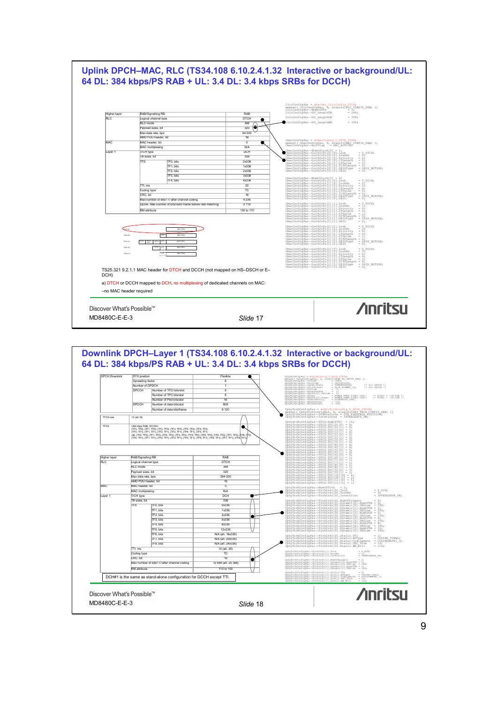

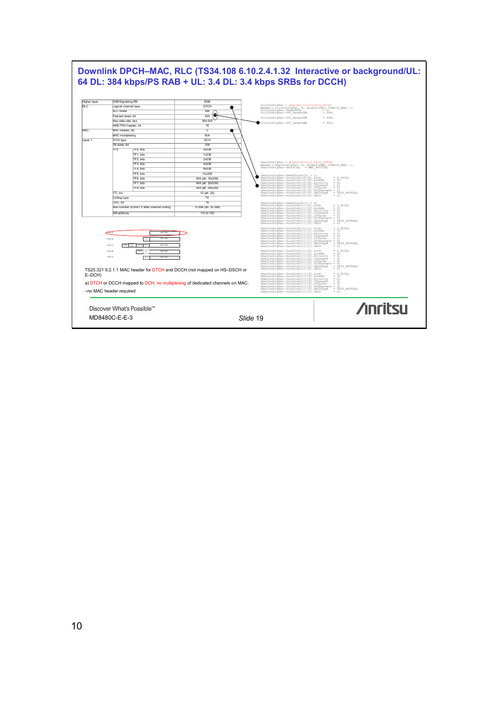